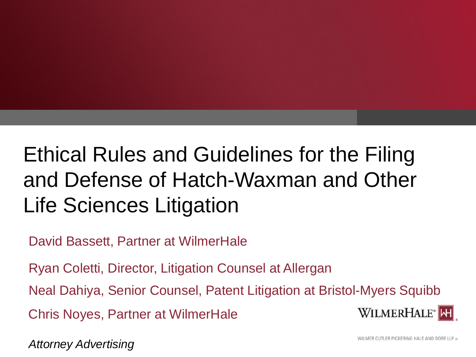# Ethical Rules and Guidelines for the Filing and Defense of Hatch-Waxman and Other Life Sciences Litigation

David Bassett, Partner at WilmerHale

Ryan Coletti, Director, Litigation Counsel at Allergan

Neal Dahiya, Senior Counsel, Patent Litigation at Bristol-Myers Squibb

Chris Noyes, Partner at WilmerHale



*Attorney Advertising*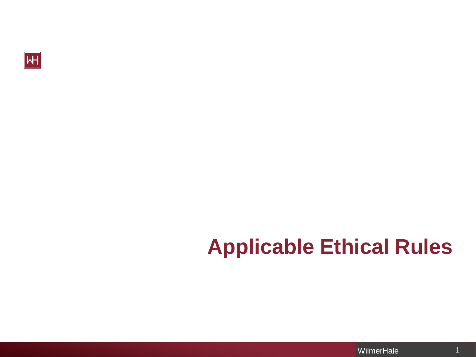

# **Applicable Ethical Rules**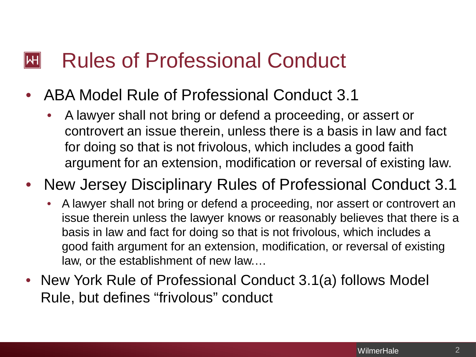#### Rules of Professional Conduct  $\mathsf{I}\mathsf{H}\mathsf{I}$

- ABA Model Rule of Professional Conduct 3.1
	- A lawyer shall not bring or defend a proceeding, or assert or controvert an issue therein, unless there is a basis in law and fact for doing so that is not frivolous, which includes a good faith argument for an extension, modification or reversal of existing law.

#### • New Jersey Disciplinary Rules of Professional Conduct 3.1

- A lawyer shall not bring or defend a proceeding, nor assert or controvert an issue therein unless the lawyer knows or reasonably believes that there is a basis in law and fact for doing so that is not frivolous, which includes a good faith argument for an extension, modification, or reversal of existing law, or the establishment of new law.…
- New York Rule of Professional Conduct 3.1(a) follows Model Rule, but defines "frivolous" conduct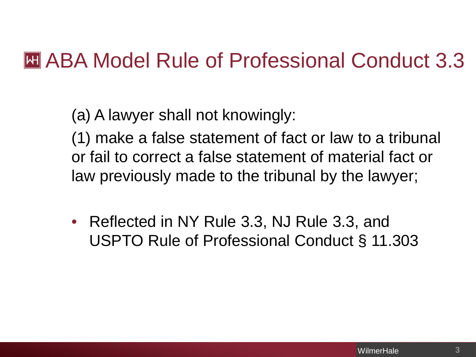#### **EXAMPRE ARE ARRY ARRY ARRY MEDIA CONDUCT 3.3**

(a) A lawyer shall not knowingly:

(1) make a false statement of fact or law to a tribunal or fail to correct a false statement of material fact or law previously made to the tribunal by the lawyer;

• Reflected in NY Rule 3.3, NJ Rule 3.3, and USPTO Rule of Professional Conduct § 11.303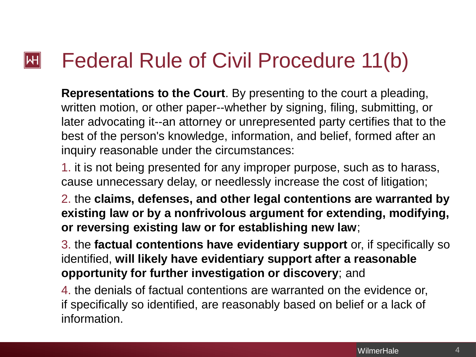#### Federal Rule of Civil Procedure 11(b)  $|\mathsf{H}|$

**Representations to the Court**. By presenting to the court a pleading, written motion, or other paper--whether by signing, filing, submitting, or later advocating it--an attorney or unrepresented party certifies that to the best of the person's knowledge, information, and belief, formed after an inquiry reasonable under the circumstances:

1. it is not being presented for any improper purpose, such as to harass, cause unnecessary delay, or needlessly increase the cost of litigation;

2. the **claims, defenses, and other legal contentions are warranted by existing law or by a nonfrivolous argument for extending, modifying, or reversing existing law or for establishing new law**;

3. the **factual contentions have evidentiary support** or, if specifically so identified, **will likely have evidentiary support after a reasonable opportunity for further investigation or discovery**; and

4. the denials of factual contentions are warranted on the evidence or, if specifically so identified, are reasonably based on belief or a lack of information.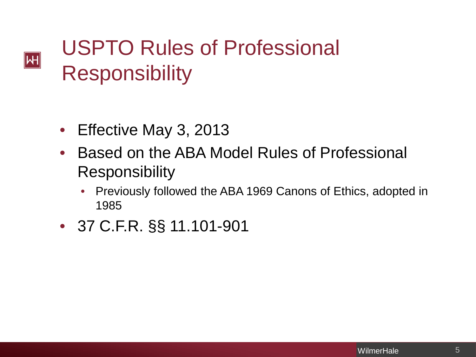# USPTO Rules of Professional **Responsibility**

• Effective May 3, 2013

 $|\mathsf{H}|$ 

- Based on the ABA Model Rules of Professional **Responsibility** 
	- Previously followed the ABA 1969 Canons of Ethics, adopted in 1985
- 37 C.F.R. §§ 11.101-901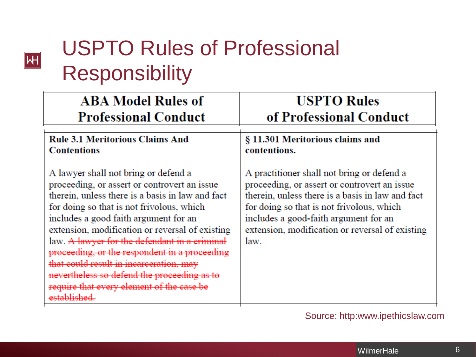# USPTO Rules of Professional Responsibility

 $\boxed{H}$ 

| <b>ABA Model Rules of</b>                                                                                                                                                                                                                                                                                                                                                                                                                                                                                                                            | <b>USPTO Rules</b>                                                                                                                                                                                                                                                                              |
|------------------------------------------------------------------------------------------------------------------------------------------------------------------------------------------------------------------------------------------------------------------------------------------------------------------------------------------------------------------------------------------------------------------------------------------------------------------------------------------------------------------------------------------------------|-------------------------------------------------------------------------------------------------------------------------------------------------------------------------------------------------------------------------------------------------------------------------------------------------|
| <b>Professional Conduct</b>                                                                                                                                                                                                                                                                                                                                                                                                                                                                                                                          | of Professional Conduct                                                                                                                                                                                                                                                                         |
| <b>Rule 3.1 Meritorious Claims And</b>                                                                                                                                                                                                                                                                                                                                                                                                                                                                                                               | § 11.301 Meritorious claims and                                                                                                                                                                                                                                                                 |
| <b>Contentions</b>                                                                                                                                                                                                                                                                                                                                                                                                                                                                                                                                   | contentions.                                                                                                                                                                                                                                                                                    |
| A lawyer shall not bring or defend a<br>proceeding, or assert or controvert an issue<br>therein, unless there is a basis in law and fact<br>for doing so that is not frivolous, which<br>includes a good faith argument for an<br>extension, modification or reversal of existing<br>law. A lawyer for the defendant in a criminal<br>proceeding, or the respondent in a proceeding<br>that could result in incarceration, may<br>nevertheless so defend the proceeding as to<br>require that every element of the case be<br><del>established</del> | A practitioner shall not bring or defend a<br>proceeding, or assert or controvert an issue<br>therein, unless there is a basis in law and fact<br>for doing so that is not frivolous, which<br>includes a good-faith argument for an<br>extension, modification or reversal of existing<br>law. |

#### Source: http:www.ipethicslaw.com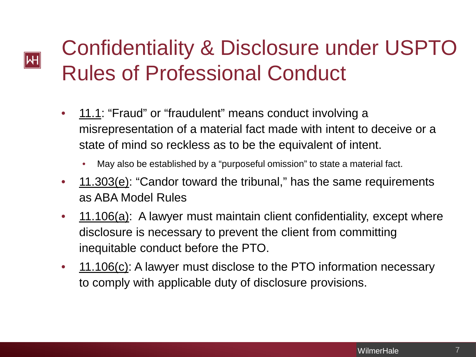# Confidentiality & Disclosure under USPTO Rules of Professional Conduct

Μ

- 11.1: "Fraud" or "fraudulent" means conduct involving a misrepresentation of a material fact made with intent to deceive or a state of mind so reckless as to be the equivalent of intent.
	- May also be established by a "purposeful omission" to state a material fact.
- 11.303(e): "Candor toward the tribunal," has the same requirements as ABA Model Rules
- 11.106(a): A lawyer must maintain client confidentiality, except where disclosure is necessary to prevent the client from committing inequitable conduct before the PTO.
- 11.106(c): A lawyer must disclose to the PTO information necessary to comply with applicable duty of disclosure provisions.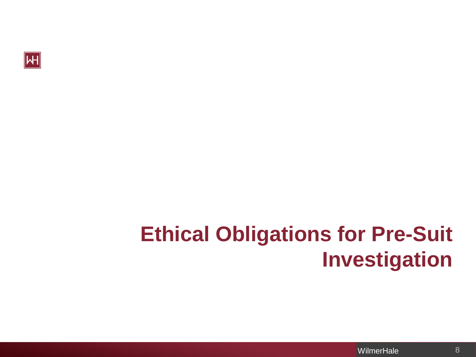

#### **Ethical Obligations for Pre-Suit Investigation**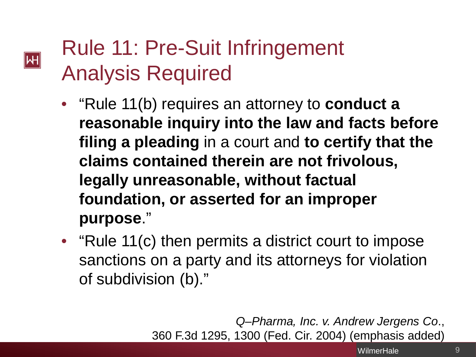# Rule 11: Pre-Suit Infringement Analysis Required

**M** 

- "Rule 11(b) requires an attorney to **conduct a reasonable inquiry into the law and facts before filing a pleading** in a court and **to certify that the claims contained therein are not frivolous, legally unreasonable, without factual foundation, or asserted for an improper purpose**."
- "Rule 11(c) then permits a district court to impose sanctions on a party and its attorneys for violation of subdivision (b)."

Privileged and Confidential WilmerHale WilmerHale

*Q–Pharma, Inc. v. Andrew Jergens Co*., 360 F.3d 1295, 1300 (Fed. Cir. 2004) (emphasis added)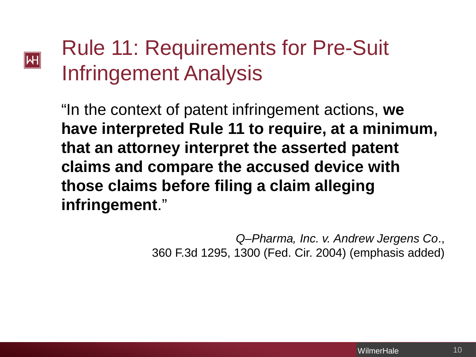#### **M**

# Rule 11: Requirements for Pre-Suit Infringement Analysis

"In the context of patent infringement actions, **we have interpreted Rule 11 to require, at a minimum, that an attorney interpret the asserted patent claims and compare the accused device with those claims before filing a claim alleging infringement**."

> *Q–Pharma, Inc. v. Andrew Jergens Co*., 360 F.3d 1295, 1300 (Fed. Cir. 2004) (emphasis added)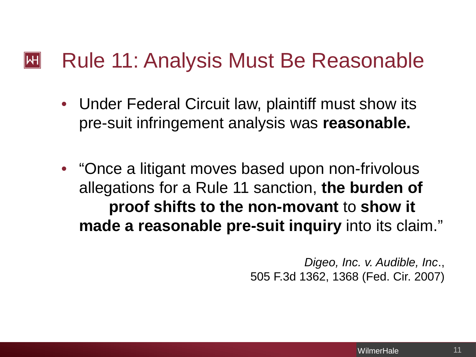#### Rule 11: Analysis Must Be Reasonable  $\mathsf{|\mathsf{H}|}$

- Under Federal Circuit law, plaintiff must show its pre-suit infringement analysis was **reasonable.**
- "Once a litigant moves based upon non-frivolous allegations for a Rule 11 sanction, **the burden of proof shifts to the non-movant** to **show it made a reasonable pre-suit inquiry** into its claim."

*Digeo, Inc. v. Audible, Inc*., 505 F.3d 1362, 1368 (Fed. Cir. 2007)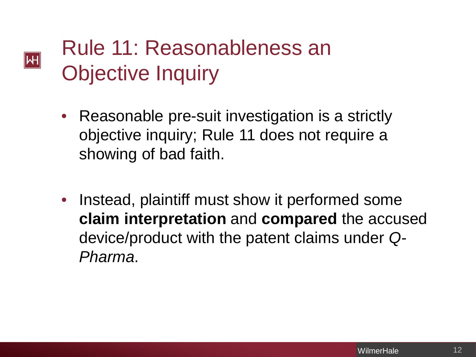# Rule 11: Reasonableness an Objective Inquiry

**M** 

- Reasonable pre-suit investigation is a strictly objective inquiry; Rule 11 does not require a showing of bad faith.
- Instead, plaintiff must show it performed some **claim interpretation** and **compared** the accused device/product with the patent claims under *Q-Pharma*.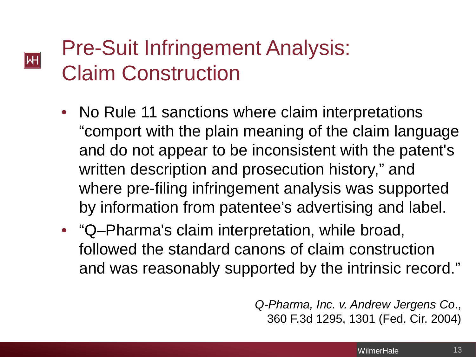# Pre-Suit Infringement Analysis: Claim Construction

**M** 

- No Rule 11 sanctions where claim interpretations "comport with the plain meaning of the claim language and do not appear to be inconsistent with the patent's written description and prosecution history," and where pre-filing infringement analysis was supported by information from patentee's advertising and label.
- "Q–Pharma's claim interpretation, while broad, followed the standard canons of claim construction and was reasonably supported by the intrinsic record."

*Q-Pharma, Inc. v. Andrew Jergens Co*., 360 F.3d 1295, 1301 (Fed. Cir. 2004)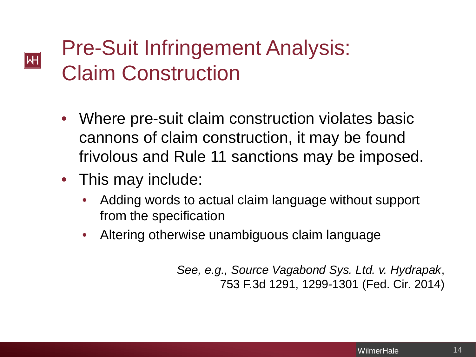# Pre-Suit Infringement Analysis: Claim Construction

- Where pre-suit claim construction violates basic cannons of claim construction, it may be found frivolous and Rule 11 sanctions may be imposed.
- This may include:

 $|\mathsf{H}|$ 

- Adding words to actual claim language without support from the specification
- Altering otherwise unambiguous claim language

*See, e.g., Source Vagabond Sys. Ltd. v. Hydrapak*, 753 F.3d 1291, 1299-1301 (Fed. Cir. 2014)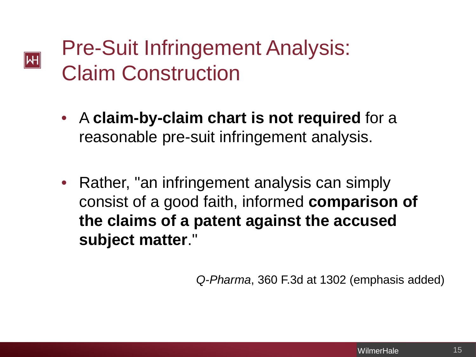#### Pre-Suit Infringement Analysis: Claim Construction

 $|\!|\mathsf{W}|\!|$ 

- A **claim-by-claim chart is not required** for a reasonable pre-suit infringement analysis.
- Rather, "an infringement analysis can simply consist of a good faith, informed **comparison of the claims of a patent against the accused subject matter**."

*Q-Pharma*, 360 F.3d at 1302 (emphasis added)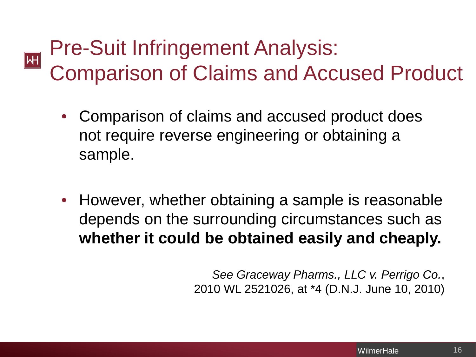#### Pre-Suit Infringement Analysis:  $\boxed{\mathsf{H}}$ Comparison of Claims and Accused Product

- Comparison of claims and accused product does not require reverse engineering or obtaining a sample.
- However, whether obtaining a sample is reasonable depends on the surrounding circumstances such as **whether it could be obtained easily and cheaply.**

*See Graceway Pharms., LLC v. Perrigo Co.*, 2010 WL 2521026, at \*4 (D.N.J. June 10, 2010)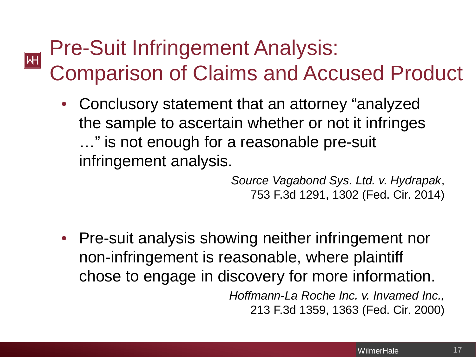#### Pre-Suit Infringement Analysis:  $|\mathsf{H}|$ Comparison of Claims and Accused Product

• Conclusory statement that an attorney "analyzed the sample to ascertain whether or not it infringes …" is not enough for a reasonable pre-suit infringement analysis.

> *Source Vagabond Sys. Ltd. v. Hydrapak*, 753 F.3d 1291, 1302 (Fed. Cir. 2014)

• Pre-suit analysis showing neither infringement nor non-infringement is reasonable, where plaintiff chose to engage in discovery for more information. *Hoffmann-La Roche Inc. v. Invamed Inc.,* 213 F.3d 1359, 1363 (Fed. Cir. 2000)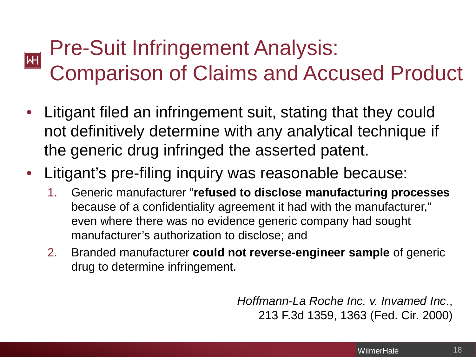#### Pre-Suit Infringement Analysis:  $\boxed{\mathsf{H}}$ Comparison of Claims and Accused Product

- Litigant filed an infringement suit, stating that they could not definitively determine with any analytical technique if the generic drug infringed the asserted patent.
- Litigant's pre-filing inquiry was reasonable because:
	- 1. Generic manufacturer "**refused to disclose manufacturing processes** because of a confidentiality agreement it had with the manufacturer," even where there was no evidence generic company had sought manufacturer's authorization to disclose; and
	- 2. Branded manufacturer **could not reverse-engineer sample** of generic drug to determine infringement.

*Hoffmann-La Roche Inc. v. Invamed Inc*., 213 F.3d 1359, 1363 (Fed. Cir. 2000)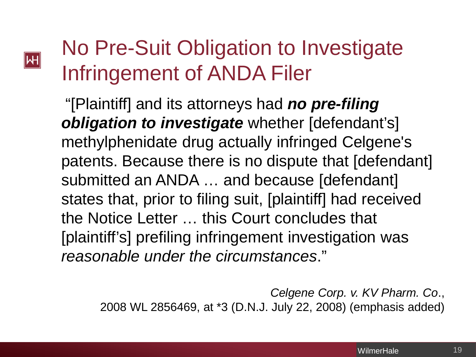#### Μ

# No Pre-Suit Obligation to Investigate Infringement of ANDA Filer

"[Plaintiff] and its attorneys had *no pre-filing obligation to investigate* whether [defendant's] methylphenidate drug actually infringed Celgene's patents. Because there is no dispute that [defendant] submitted an ANDA … and because [defendant] states that, prior to filing suit, [plaintiff] had received the Notice Letter … this Court concludes that [plaintiff's] prefiling infringement investigation was *reasonable under the circumstances*."

*Celgene Corp. v. KV Pharm. Co*., 2008 WL 2856469, at \*3 (D.N.J. July 22, 2008) (emphasis added)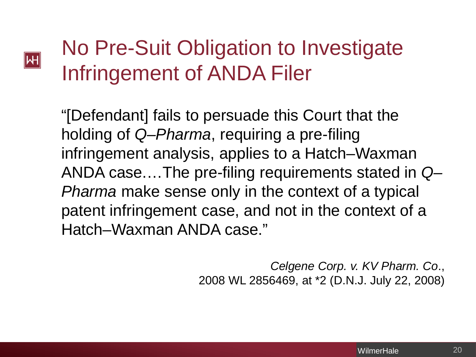#### ∥һН

# No Pre-Suit Obligation to Investigate Infringement of ANDA Filer

"[Defendant] fails to persuade this Court that the holding of *Q–Pharma*, requiring a pre-filing infringement analysis, applies to a Hatch–Waxman ANDA case.…The pre-filing requirements stated in *Q– Pharma* make sense only in the context of a typical patent infringement case, and not in the context of a Hatch–Waxman ANDA case."

> *Celgene Corp. v. KV Pharm. Co*., 2008 WL 2856469, at \*2 (D.N.J. July 22, 2008)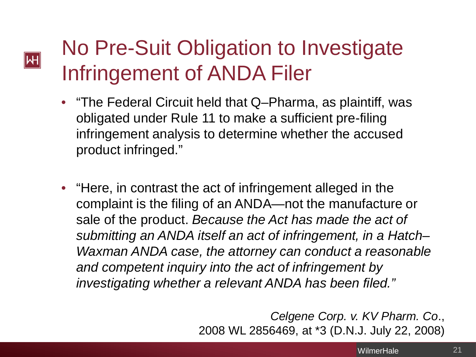#### No Pre-Suit Obligation to Investigate Infringement of ANDA Filer

**M** 

- "The Federal Circuit held that Q–Pharma, as plaintiff, was obligated under Rule 11 to make a sufficient pre-filing infringement analysis to determine whether the accused product infringed."
- "Here, in contrast the act of infringement alleged in the complaint is the filing of an ANDA—not the manufacture or sale of the product. *Because the Act has made the act of submitting an ANDA itself an act of infringement, in a Hatch– Waxman ANDA case, the attorney can conduct a reasonable and competent inquiry into the act of infringement by investigating whether a relevant ANDA has been filed."*

*Celgene Corp. v. KV Pharm. Co*., 2008 WL 2856469, at \*3 (D.N.J. July 22, 2008)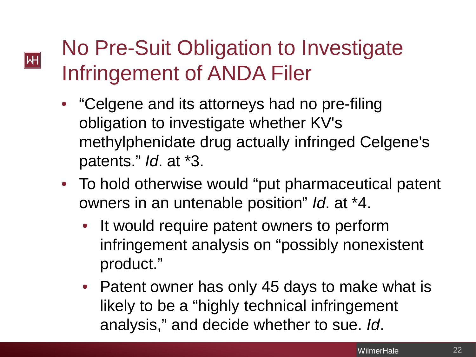### No Pre-Suit Obligation to Investigate Infringement of ANDA Filer

**M** 

- "Celgene and its attorneys had no pre-filing obligation to investigate whether KV's methylphenidate drug actually infringed Celgene's patents." *Id*. at \*3.
- To hold otherwise would "put pharmaceutical patent" owners in an untenable position" *Id*. at \*4.
	- It would require patent owners to perform infringement analysis on "possibly nonexistent product."
	- Patent owner has only 45 days to make what is likely to be a "highly technical infringement analysis," and decide whether to sue. *Id*.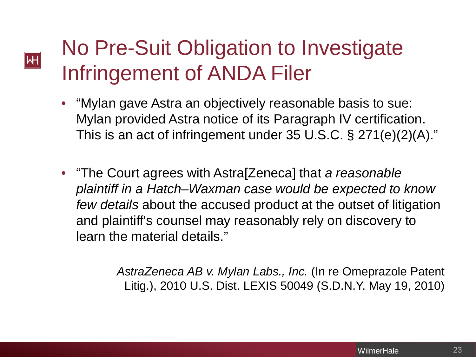#### No Pre-Suit Obligation to Investigate Infringement of ANDA Filer

∥һН

- "Mylan gave Astra an objectively reasonable basis to sue: Mylan provided Astra notice of its Paragraph IV certification. This is an act of infringement under 35 U.S.C. § 271(e)(2)(A)."
- "The Court agrees with Astra[Zeneca] that *a reasonable plaintiff in a Hatch–Waxman case would be expected to know few details* about the accused product at the outset of litigation and plaintiff's counsel may reasonably rely on discovery to learn the material details."

*AstraZeneca AB v. Mylan Labs., Inc.* (In re Omeprazole Patent Litig.), 2010 U.S. Dist. LEXIS 50049 (S.D.N.Y. May 19, 2010)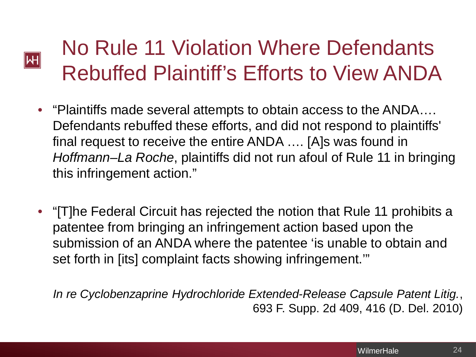# No Rule 11 Violation Where Defendants Rebuffed Plaintiff's Efforts to View ANDA

Μ

- "Plaintiffs made several attempts to obtain access to the ANDA…. Defendants rebuffed these efforts, and did not respond to plaintiffs' final request to receive the entire ANDA …. [A]s was found in *Hoffmann–La Roche*, plaintiffs did not run afoul of Rule 11 in bringing this infringement action."
- "[T]he Federal Circuit has rejected the notion that Rule 11 prohibits a patentee from bringing an infringement action based upon the submission of an ANDA where the patentee 'is unable to obtain and set forth in [its] complaint facts showing infringement.'"

*In re Cyclobenzaprine Hydrochloride Extended-Release Capsule Patent Litig.*, 693 F. Supp. 2d 409, 416 (D. Del. 2010)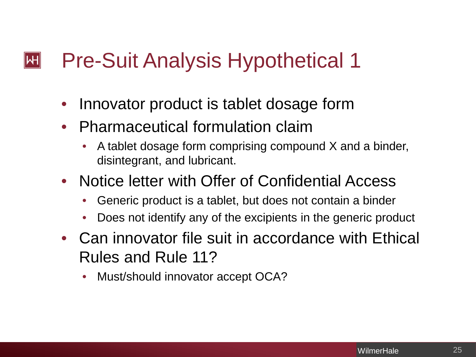#### Pre-Suit Analysis Hypothetical 1  $\mathsf{|\mathsf{H}|}$

- Innovator product is tablet dosage form
- Pharmaceutical formulation claim
	- A tablet dosage form comprising compound X and a binder, disintegrant, and lubricant.
- Notice letter with Offer of Confidential Access
	- Generic product is a tablet, but does not contain a binder
	- Does not identify any of the excipients in the generic product
- Can innovator file suit in accordance with Ethical Rules and Rule 11?
	- Must/should innovator accept OCA?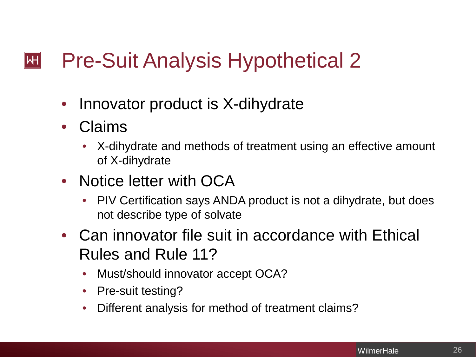#### Pre-Suit Analysis Hypothetical 2  $\left\Vert \mathsf{H}\right\Vert$

- Innovator product is X-dihydrate
- Claims
	- X-dihydrate and methods of treatment using an effective amount of X-dihydrate
- Notice letter with OCA
	- PIV Certification says ANDA product is not a dihydrate, but does not describe type of solvate
- Can innovator file suit in accordance with Ethical Rules and Rule 11?
	- Must/should innovator accept OCA?
	- Pre-suit testing?
	- Different analysis for method of treatment claims?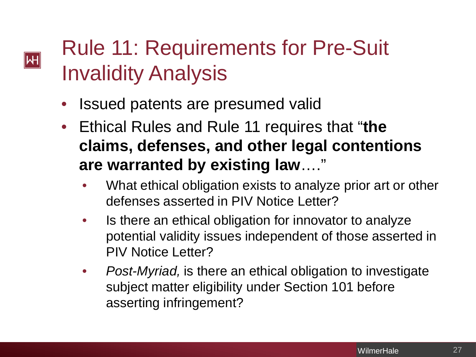## Rule 11: Requirements for Pre-Suit Invalidity Analysis

• Issued patents are presumed valid

**H** 

- Ethical Rules and Rule 11 requires that "**the claims, defenses, and other legal contentions are warranted by existing law**…."
	- What ethical obligation exists to analyze prior art or other defenses asserted in PIV Notice Letter?
	- Is there an ethical obligation for innovator to analyze potential validity issues independent of those asserted in PIV Notice Letter?
	- *Post-Myriad,* is there an ethical obligation to investigate subject matter eligibility under Section 101 before asserting infringement?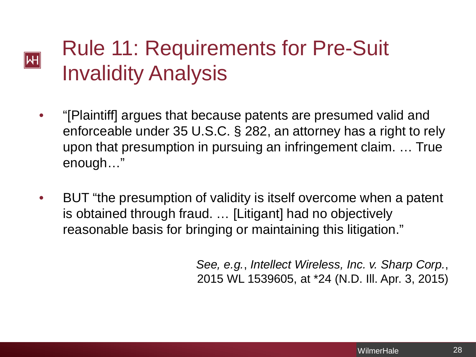### Rule 11: Requirements for Pre-Suit Invalidity Analysis

 $|\mathsf{H}|$ 

- "[Plaintiff] argues that because patents are presumed valid and enforceable under 35 U.S.C. § 282, an attorney has a right to rely upon that presumption in pursuing an infringement claim. … True enough…"
- BUT "the presumption of validity is itself overcome when a patent is obtained through fraud. … [Litigant] had no objectively reasonable basis for bringing or maintaining this litigation."

*See, e.g.*, *Intellect Wireless, Inc. v. Sharp Corp.*, 2015 WL 1539605, at \*24 (N.D. Ill. Apr. 3, 2015)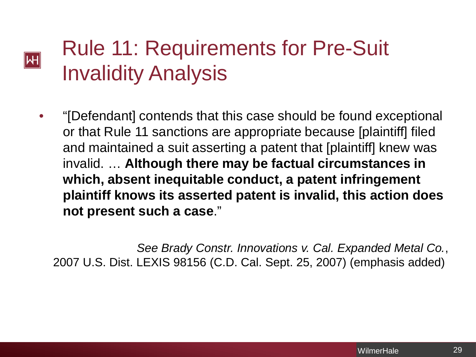# Rule 11: Requirements for Pre-Suit Invalidity Analysis

**M** 

• "[Defendant] contends that this case should be found exceptional or that Rule 11 sanctions are appropriate because [plaintiff] filed and maintained a suit asserting a patent that [plaintiff] knew was invalid. … **Although there may be factual circumstances in which, absent inequitable conduct, a patent infringement plaintiff knows its asserted patent is invalid, this action does not present such a case**."

*See Brady Constr. Innovations v. Cal. Expanded Metal Co.*, 2007 U.S. Dist. LEXIS 98156 (C.D. Cal. Sept. 25, 2007) (emphasis added)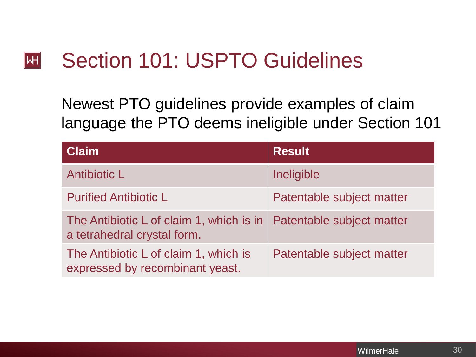#### Section 101: USPTO Guidelines  $|\mathsf{H}|$

Newest PTO guidelines provide examples of claim language the PTO deems ineligible under Section 101

| <b>Claim</b>                                                                                      | <b>Result</b>             |
|---------------------------------------------------------------------------------------------------|---------------------------|
| Antibiotic L                                                                                      | Ineligible                |
| <b>Purified Antibiotic L</b>                                                                      | Patentable subject matter |
| The Antibiotic L of claim 1, which is in Patentable subject matter<br>a tetrahedral crystal form. |                           |
| The Antibiotic L of claim 1, which is<br>expressed by recombinant yeast.                          | Patentable subject matter |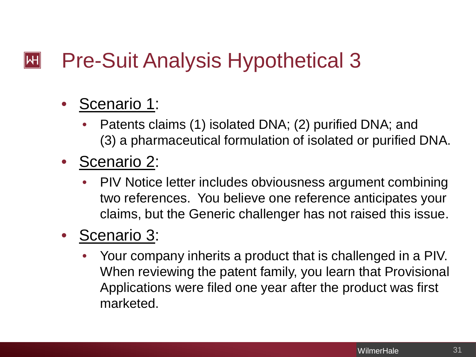#### Pre-Suit Analysis Hypothetical 3  $\left\Vert \mathsf{H}\right\Vert$

#### Scenario 1:

- Patents claims (1) isolated DNA; (2) purified DNA; and (3) a pharmaceutical formulation of isolated or purified DNA.
- Scenario 2:
	- PIV Notice letter includes obviousness argument combining two references. You believe one reference anticipates your claims, but the Generic challenger has not raised this issue.

#### • Scenario 3:

• Your company inherits a product that is challenged in a PIV. When reviewing the patent family, you learn that Provisional Applications were filed one year after the product was first marketed.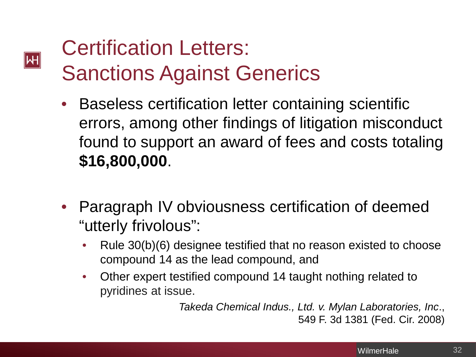# Certification Letters: Sanctions Against Generics

**M** 

- Baseless certification letter containing scientific errors, among other findings of litigation misconduct found to support an award of fees and costs totaling **\$16,800,000**.
- Paragraph IV obviousness certification of deemed "utterly frivolous":
	- Rule 30(b)(6) designee testified that no reason existed to choose compound 14 as the lead compound, and
	- Other expert testified compound 14 taught nothing related to pyridines at issue.

*Takeda Chemical Indus., Ltd. v. Mylan Laboratories, Inc*., 549 F. 3d 1381 (Fed. Cir. 2008)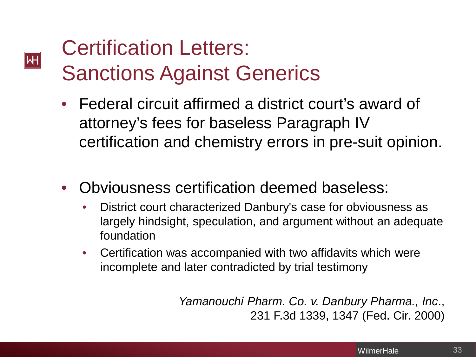# Certification Letters: Sanctions Against Generics

**M** 

- Federal circuit affirmed a district court's award of attorney's fees for baseless Paragraph IV certification and chemistry errors in pre-suit opinion.
- Obviousness certification deemed baseless:
	- District court characterized Danbury's case for obviousness as largely hindsight, speculation, and argument without an adequate foundation
	- Certification was accompanied with two affidavits which were incomplete and later contradicted by trial testimony

*Yamanouchi Pharm. Co. v. Danbury Pharma., Inc*., 231 F.3d 1339, 1347 (Fed. Cir. 2000)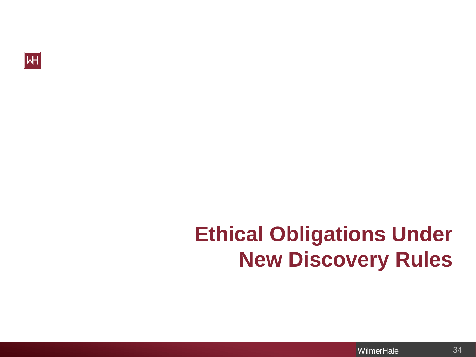

# **Ethical Obligations Under New Discovery Rules**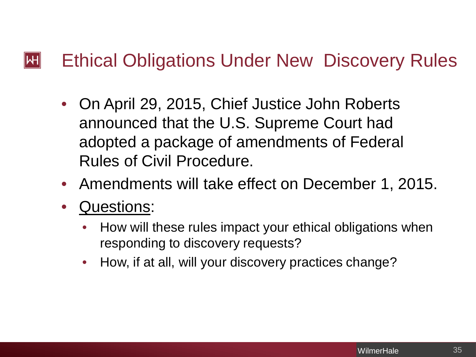#### $\left\Vert \mathsf{H}\right\Vert$ Ethical Obligations Under New Discovery Rules

- On April 29, 2015, Chief Justice John Roberts announced that the U.S. Supreme Court had adopted a package of amendments of Federal Rules of Civil Procedure.
- Amendments will take effect on December 1, 2015.
- Questions:
	- How will these rules impact your ethical obligations when responding to discovery requests?
	- How, if at all, will your discovery practices change?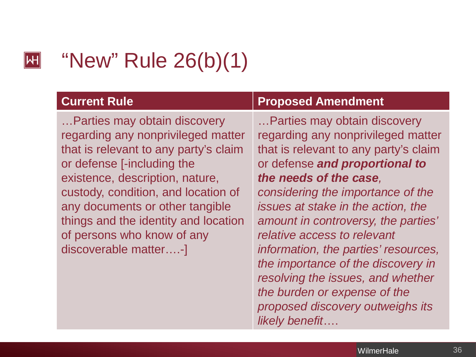#### "New" Rule 26(b)(1)  $\mathsf{|\mathsf{H}|}$

…Parties may obtain discovery regarding any nonprivileged matter that is relevant to any party's claim or defense [-including the existence, description, nature, custody, condition, and location of any documents or other tangible things and the identity and location of persons who know of any discoverable matter….-]

#### **Current Rule Proposed Amendment**

…Parties may obtain discovery regarding any nonprivileged matter that is relevant to any party's claim or defense *and proportional to the needs of the case, considering the importance of the issues at stake in the action, the amount in controversy, the parties' relative access to relevant information, the parties' resources, the importance of the discovery in resolving the issues, and whether the burden or expense of the proposed discovery outweighs its likely benefit*….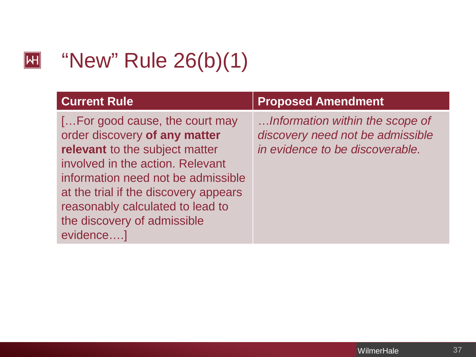#### $\boxed{\mathsf{H}}$

#### "New" Rule 26(b)(1)

| <b>Current Rule</b>                   | <b>Proposed Amendment</b>        |
|---------------------------------------|----------------------------------|
| [For good cause, the court may        | Information within the scope of  |
| order discovery of any matter         | discovery need not be admissible |
| relevant to the subject matter        | in evidence to be discoverable.  |
| involved in the action. Relevant      |                                  |
| information need not be admissible    |                                  |
| at the trial if the discovery appears |                                  |
| reasonably calculated to lead to      |                                  |
| the discovery of admissible           |                                  |
| evidence]                             |                                  |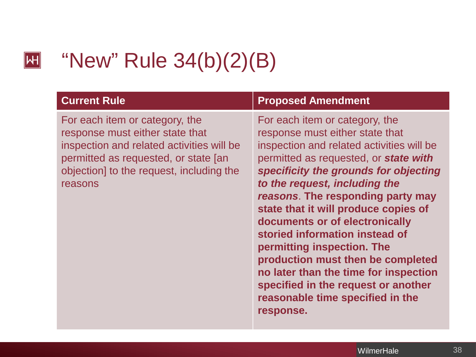#### "New" Rule 34(b)(2)(B)

 $\left\Vert \mathsf{H}\right\Vert$ 

For each item or category, the response must either state that inspection and related activities will be permitted as requested, or state [an objection] to the request, including the reasons

#### **Current Rule Proposed Amendment**

For each item or category, the response must either state that inspection and related activities will be permitted as requested, or *state with specificity the grounds for objecting to the request, including the reasons*. **The responding party may state that it will produce copies of documents or of electronically storied information instead of permitting inspection. The production must then be completed no later than the time for inspection specified in the request or another reasonable time specified in the response.**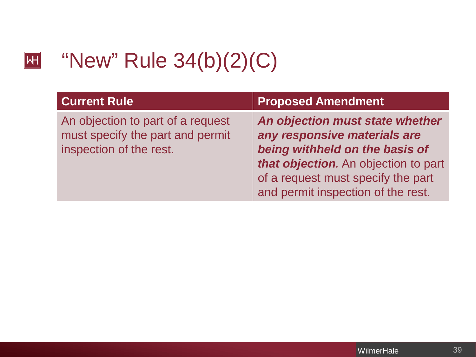#### "New" Rule 34(b)(2)(C)  $\boxed{\mathsf{H}}$

| <b>Current Rule</b>                                                                              | <b>Proposed Amendment</b>                                                                                                                                                                                             |
|--------------------------------------------------------------------------------------------------|-----------------------------------------------------------------------------------------------------------------------------------------------------------------------------------------------------------------------|
| An objection to part of a request<br>must specify the part and permit<br>inspection of the rest. | An objection must state whether<br>any responsive materials are<br>being withheld on the basis of<br>that objection. An objection to part<br>of a request must specify the part<br>and permit inspection of the rest. |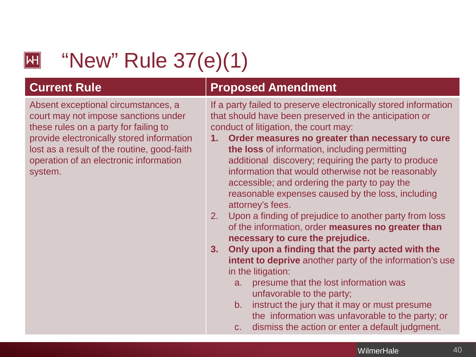#### $\left\Vert \mathsf{H}\right\Vert$

# "New" Rule 37(e)(1)

Absent exceptional circumstances, a court may not impose sanctions under these rules on a party for failing to provide electronically stored information lost as a result of the routine, good-faith operation of an electronic information system.

#### **Current Rule**  Proposed Amendment

If a party failed to preserve electronically stored information that should have been preserved in the anticipation or conduct of litigation, the court may:

- **1. Order measures no greater than necessary to cure the loss** of information, including permitting additional discovery; requiring the party to produce information that would otherwise not be reasonably accessible; and ordering the party to pay the reasonable expenses caused by the loss, including attorney's fees.
- 2. Upon a finding of prejudice to another party from loss of the information, order **measures no greater than necessary to cure the prejudice.**
- **3. Only upon a finding that the party acted with the intent to deprive** another party of the information's use in the litigation:
	- a. presume that the lost information was unfavorable to the party;
	- b. instruct the jury that it may or must presume the information was unfavorable to the party; or
	- c. dismiss the action or enter a default judgment.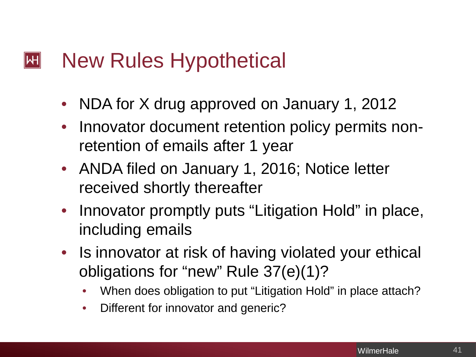#### New Rules Hypothetical  $\left\Vert \mathsf{H}\right\Vert$

- NDA for X drug approved on January 1, 2012
- Innovator document retention policy permits nonretention of emails after 1 year
- ANDA filed on January 1, 2016; Notice letter received shortly thereafter
- Innovator promptly puts "Litigation Hold" in place, including emails
- Is innovator at risk of having violated your ethical obligations for "new" Rule 37(e)(1)?
	- When does obligation to put "Litigation Hold" in place attach?
	- Different for innovator and generic?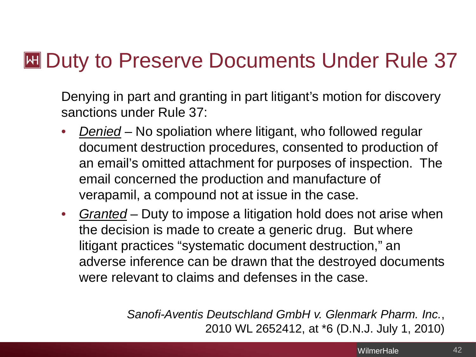#### **EXT Duty to Preserve Documents Under Rule 37**

Denying in part and granting in part litigant's motion for discovery sanctions under Rule 37:

- *Denied* No spoliation where litigant, who followed regular document destruction procedures, consented to production of an email's omitted attachment for purposes of inspection. The email concerned the production and manufacture of verapamil, a compound not at issue in the case.
- *Granted* Duty to impose a litigation hold does not arise when the decision is made to create a generic drug. But where litigant practices "systematic document destruction," an adverse inference can be drawn that the destroyed documents were relevant to claims and defenses in the case.

*Sanofi-Aventis Deutschland GmbH v. Glenmark Pharm. Inc.*, 2010 WL 2652412, at \*6 (D.N.J. July 1, 2010)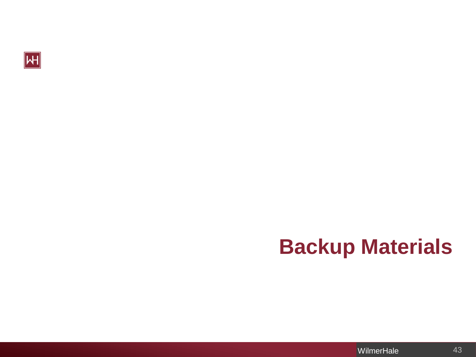

# **Backup Materials**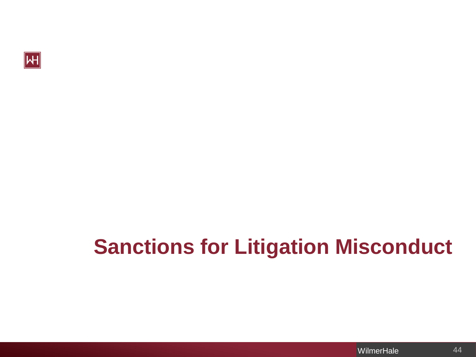

# **Sanctions for Litigation Misconduct**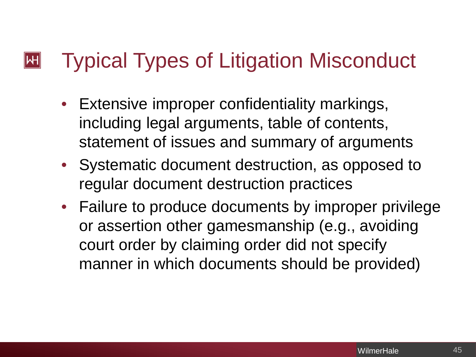#### Typical Types of Litigation Misconduct  $\mathsf{|\mathsf{H}|}$

- Extensive improper confidentiality markings, including legal arguments, table of contents, statement of issues and summary of arguments
- Systematic document destruction, as opposed to regular document destruction practices
- Failure to produce documents by improper privilege or assertion other gamesmanship (e.g., avoiding court order by claiming order did not specify manner in which documents should be provided)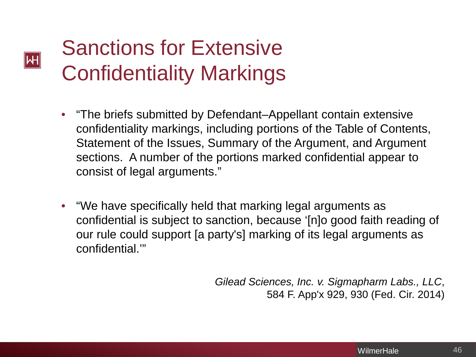# Sanctions for Extensive Confidentiality Markings

∥һН

- "The briefs submitted by Defendant–Appellant contain extensive confidentiality markings, including portions of the Table of Contents, Statement of the Issues, Summary of the Argument, and Argument sections. A number of the portions marked confidential appear to consist of legal arguments."
- "We have specifically held that marking legal arguments as confidential is subject to sanction, because '[n]o good faith reading of our rule could support [a party's] marking of its legal arguments as confidential.'"

*Gilead Sciences, Inc. v. Sigmapharm Labs., LLC*, 584 F. App'x 929, 930 (Fed. Cir. 2014)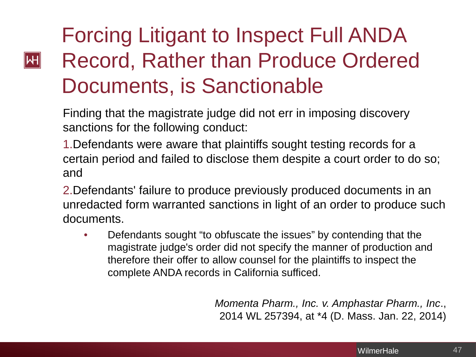## Forcing Litigant to Inspect Full ANDA Record, Rather than Produce Ordered Documents, is Sanctionable

 $\left\Vert \mathsf{H}\right\Vert$ 

Finding that the magistrate judge did not err in imposing discovery sanctions for the following conduct:

1.Defendants were aware that plaintiffs sought testing records for a certain period and failed to disclose them despite a court order to do so; and

2.Defendants' failure to produce previously produced documents in an unredacted form warranted sanctions in light of an order to produce such documents.

• Defendants sought "to obfuscate the issues" by contending that the magistrate judge's order did not specify the manner of production and therefore their offer to allow counsel for the plaintiffs to inspect the complete ANDA records in California sufficed.

> *Momenta Pharm., Inc. v. Amphastar Pharm., Inc*., 2014 WL 257394, at \*4 (D. Mass. Jan. 22, 2014)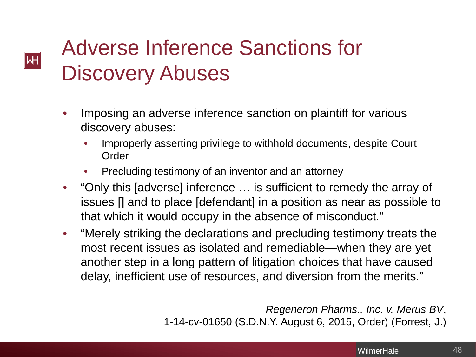# Adverse Inference Sanctions for Discovery Abuses

**M** 

- Imposing an adverse inference sanction on plaintiff for various discovery abuses:
	- Improperly asserting privilege to withhold documents, despite Court **Order**
	- Precluding testimony of an inventor and an attorney
- "Only this [adverse] inference … is sufficient to remedy the array of issues [] and to place [defendant] in a position as near as possible to that which it would occupy in the absence of misconduct."
- "Merely striking the declarations and precluding testimony treats the most recent issues as isolated and remediable—when they are yet another step in a long pattern of litigation choices that have caused delay, inefficient use of resources, and diversion from the merits."

*Regeneron Pharms., Inc. v. Merus BV*, 1-14-cv-01650 (S.D.N.Y. August 6, 2015, Order) (Forrest, J.)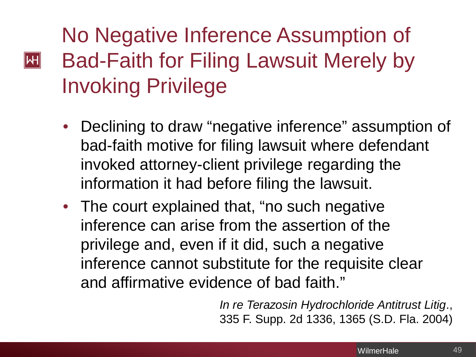# No Negative Inference Assumption of Bad-Faith for Filing Lawsuit Merely by Invoking Privilege

 $\mathsf{H}\vert$ 

- Declining to draw "negative inference" assumption of bad-faith motive for filing lawsuit where defendant invoked attorney-client privilege regarding the information it had before filing the lawsuit.
- The court explained that, "no such negative inference can arise from the assertion of the privilege and, even if it did, such a negative inference cannot substitute for the requisite clear and affirmative evidence of bad faith."

*In re Terazosin Hydrochloride Antitrust Litig*., 335 F. Supp. 2d 1336, 1365 (S.D. Fla. 2004)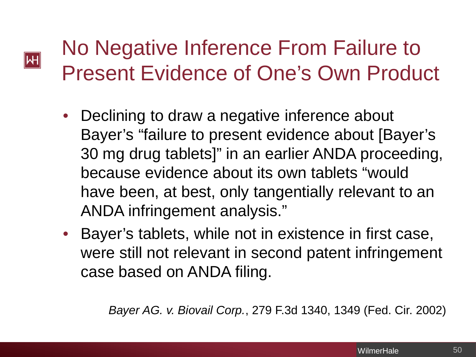#### No Negative Inference From Failure to Present Evidence of One's Own Product

Μ

- Declining to draw a negative inference about Bayer's "failure to present evidence about [Bayer's 30 mg drug tablets]" in an earlier ANDA proceeding, because evidence about its own tablets "would have been, at best, only tangentially relevant to an ANDA infringement analysis."
- Bayer's tablets, while not in existence in first case, were still not relevant in second patent infringement case based on ANDA filing.

*Bayer AG. v. Biovail Corp.*, 279 F.3d 1340, 1349 (Fed. Cir. 2002)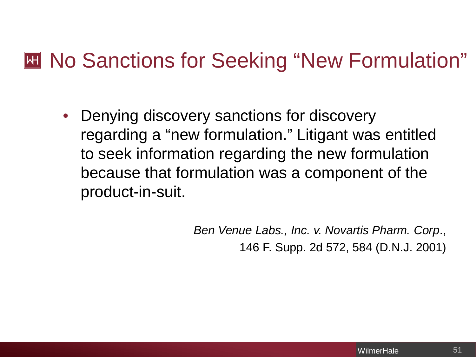#### **M** No Sanctions for Seeking "New Formulation"

• Denying discovery sanctions for discovery regarding a "new formulation." Litigant was entitled to seek information regarding the new formulation because that formulation was a component of the product-in-suit.

> *Ben Venue Labs., Inc. v. Novartis Pharm. Corp*., 146 F. Supp. 2d 572, 584 (D.N.J. 2001)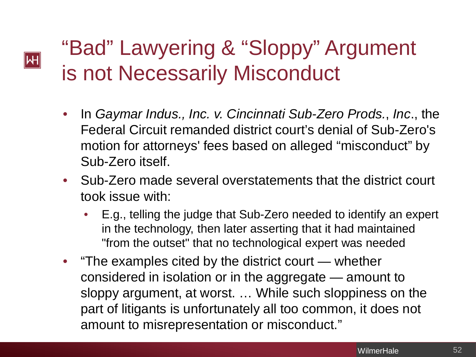# "Bad" Lawyering & "Sloppy" Argument is not Necessarily Misconduct

Μ

- In *Gaymar Indus., Inc. v. Cincinnati Sub-Zero Prods.*, *Inc*., the Federal Circuit remanded district court's denial of Sub-Zero's motion for attorneys' fees based on alleged "misconduct" by Sub-Zero itself.
- Sub-Zero made several overstatements that the district court took issue with:
	- E.g., telling the judge that Sub-Zero needed to identify an expert in the technology, then later asserting that it had maintained "from the outset" that no technological expert was needed
- "The examples cited by the district court whether considered in isolation or in the aggregate — amount to sloppy argument, at worst. … While such sloppiness on the part of litigants is unfortunately all too common, it does not amount to misrepresentation or misconduct."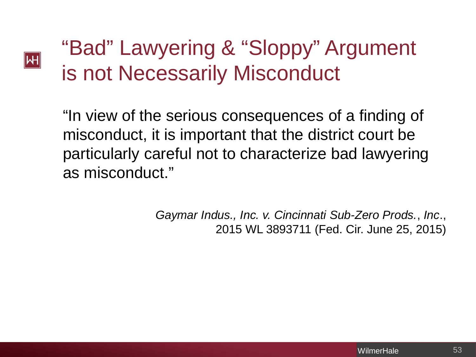# "Bad" Lawyering & "Sloppy" Argument is not Necessarily Misconduct

Μ

"In view of the serious consequences of a finding of misconduct, it is important that the district court be particularly careful not to characterize bad lawyering as misconduct."

> *Gaymar Indus., Inc. v. Cincinnati Sub-Zero Prods.*, *Inc*., 2015 WL 3893711 (Fed. Cir. June 25, 2015)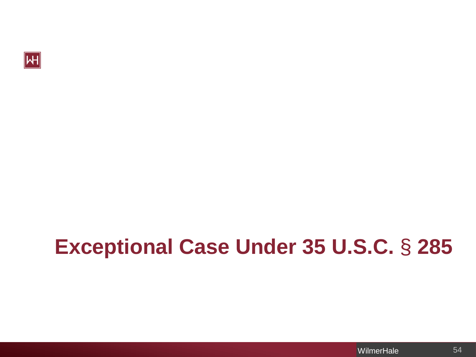

# **Exceptional Case Under 35 U.S.C.** § **285**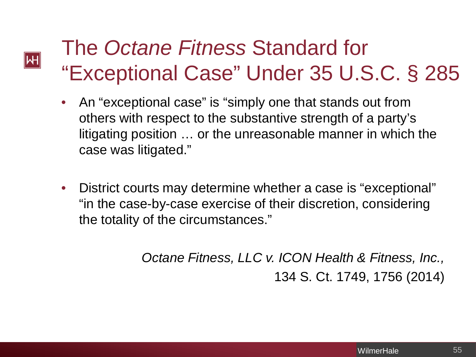## The *Octane Fitness* Standard for "Exceptional Case" Under 35 U.S.C. § 285

 $|\!|\mathsf{W}|\!|$ 

- An "exceptional case" is "simply one that stands out from others with respect to the substantive strength of a party's litigating position … or the unreasonable manner in which the case was litigated."
- District courts may determine whether a case is "exceptional" "in the case-by-case exercise of their discretion, considering the totality of the circumstances."

*Octane Fitness, LLC v. ICON Health & Fitness, Inc.,*  134 S. Ct. 1749, 1756 (2014)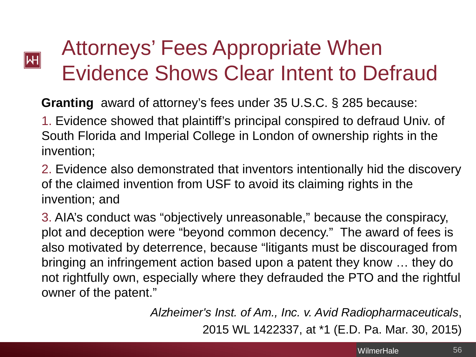

# Attorneys' Fees Appropriate When Evidence Shows Clear Intent to Defraud

**Granting** award of attorney's fees under 35 U.S.C. § 285 because:

1. Evidence showed that plaintiff's principal conspired to defraud Univ. of South Florida and Imperial College in London of ownership rights in the invention;

2. Evidence also demonstrated that inventors intentionally hid the discovery of the claimed invention from USF to avoid its claiming rights in the invention; and

3. AIA's conduct was "objectively unreasonable," because the conspiracy, plot and deception were "beyond common decency." The award of fees is also motivated by deterrence, because "litigants must be discouraged from bringing an infringement action based upon a patent they know … they do not rightfully own, especially where they defrauded the PTO and the rightful owner of the patent."

> *Alzheimer's Inst. of Am., Inc. v. Avid Radiopharmaceuticals*, 2015 WL 1422337, at \*1 (E.D. Pa. Mar. 30, 2015)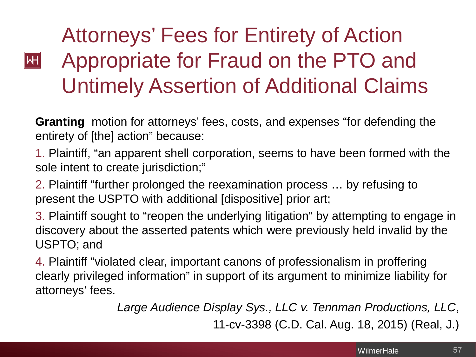# Attorneys' Fees for Entirety of Action Appropriate for Fraud on the PTO and Untimely Assertion of Additional Claims

 $\mathsf{H}$ 

**Granting** motion for attorneys' fees, costs, and expenses "for defending the entirety of [the] action" because:

1. Plaintiff, "an apparent shell corporation, seems to have been formed with the sole intent to create jurisdiction;"

2. Plaintiff "further prolonged the reexamination process … by refusing to present the USPTO with additional [dispositive] prior art;

3. Plaintiff sought to "reopen the underlying litigation" by attempting to engage in discovery about the asserted patents which were previously held invalid by the USPTO; and

4. Plaintiff "violated clear, important canons of professionalism in proffering clearly privileged information" in support of its argument to minimize liability for attorneys' fees.

*Large Audience Display Sys., LLC v. Tennman Productions, LLC*,

11-cv-3398 (C.D. Cal. Aug. 18, 2015) (Real, J.)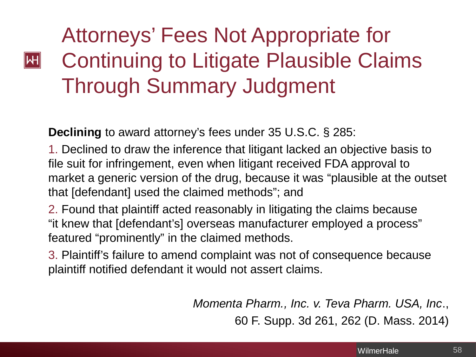# Attorneys' Fees Not Appropriate for Continuing to Litigate Plausible Claims Through Summary Judgment

**Declining** to award attorney's fees under 35 U.S.C. § 285:

 $|\mathsf{H}|$ 

1. Declined to draw the inference that litigant lacked an objective basis to file suit for infringement, even when litigant received FDA approval to market a generic version of the drug, because it was "plausible at the outset that [defendant] used the claimed methods"; and

2. Found that plaintiff acted reasonably in litigating the claims because "it knew that [defendant's] overseas manufacturer employed a process" featured "prominently" in the claimed methods.

3. Plaintiff's failure to amend complaint was not of consequence because plaintiff notified defendant it would not assert claims.

> *Momenta Pharm., Inc. v. Teva Pharm. USA, Inc*., 60 F. Supp. 3d 261, 262 (D. Mass. 2014)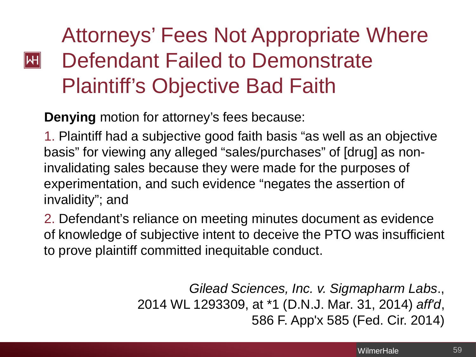## Attorneys' Fees Not Appropriate Where Defendant Failed to Demonstrate Plaintiff's Objective Bad Faith

**Denying** motion for attorney's fees because:

 $\left\Vert \mathsf{H}\right\Vert$ 

1. Plaintiff had a subjective good faith basis "as well as an objective basis" for viewing any alleged "sales/purchases" of [drug] as noninvalidating sales because they were made for the purposes of experimentation, and such evidence "negates the assertion of invalidity"; and

2. Defendant's reliance on meeting minutes document as evidence of knowledge of subjective intent to deceive the PTO was insufficient to prove plaintiff committed inequitable conduct.

> *Gilead Sciences, Inc. v. Sigmapharm Labs*., 2014 WL 1293309, at \*1 (D.N.J. Mar. 31, 2014) *aff'd*, 586 F. App'x 585 (Fed. Cir. 2014)